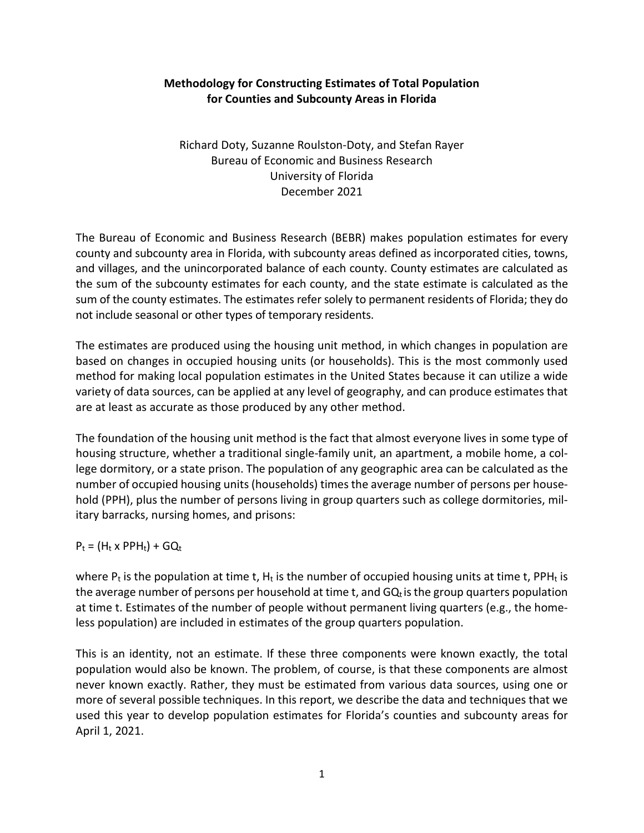# **Methodology for Constructing Estimates of Total Population for Counties and Subcounty Areas in Florida**

Richard Doty, Suzanne Roulston-Doty, and Stefan Rayer Bureau of Economic and Business Research University of Florida December 2021

The Bureau of Economic and Business Research (BEBR) makes population estimates for every county and subcounty area in Florida, with subcounty areas defined as incorporated cities, towns, and villages, and the unincorporated balance of each county. County estimates are calculated as the sum of the subcounty estimates for each county, and the state estimate is calculated as the sum of the county estimates. The estimates refer solely to permanent residents of Florida; they do not include seasonal or other types of temporary residents.

The estimates are produced using the housing unit method, in which changes in population are based on changes in occupied housing units (or households). This is the most commonly used method for making local population estimates in the United States because it can utilize a wide variety of data sources, can be applied at any level of geography, and can produce estimates that are at least as accurate as those produced by any other method.

The foundation of the housing unit method is the fact that almost everyone lives in some type of housing structure, whether a traditional single-family unit, an apartment, a mobile home, a college dormitory, or a state prison. The population of any geographic area can be calculated as the number of occupied housing units (households) times the average number of persons per household (PPH), plus the number of persons living in group quarters such as college dormitories, military barracks, nursing homes, and prisons:

 $P_t = (H_t \times PPH_t) + GQ_t$ 

where  $P_t$  is the population at time t,  $H_t$  is the number of occupied housing units at time t, PPH<sub>t</sub> is the average number of persons per household at time t, and  $GQ_t$  is the group quarters population at time t. Estimates of the number of people without permanent living quarters (e.g., the homeless population) are included in estimates of the group quarters population.

This is an identity, not an estimate. If these three components were known exactly, the total population would also be known. The problem, of course, is that these components are almost never known exactly. Rather, they must be estimated from various data sources, using one or more of several possible techniques. In this report, we describe the data and techniques that we used this year to develop population estimates for Florida's counties and subcounty areas for April 1, 2021.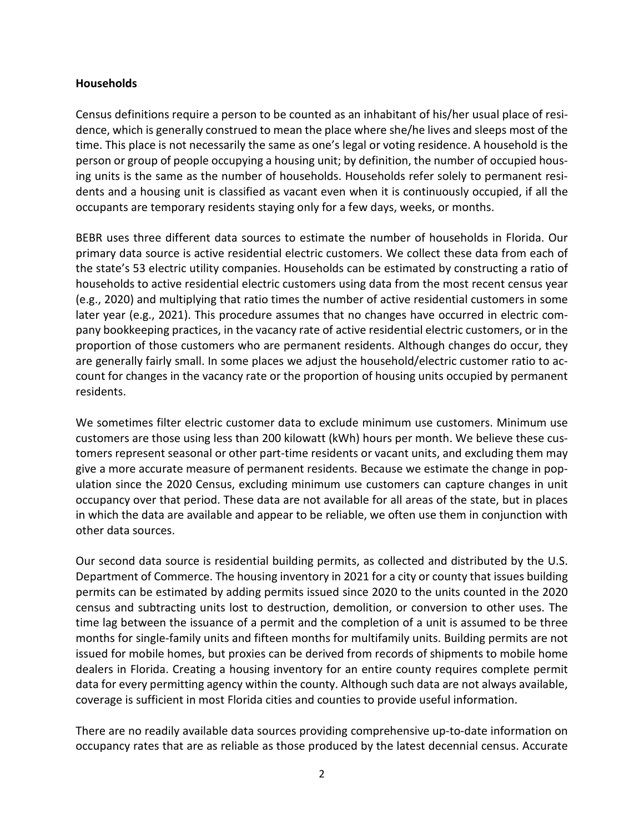## **Households**

Census definitions require a person to be counted as an inhabitant of his/her usual place of residence, which is generally construed to mean the place where she/he lives and sleeps most of the time. This place is not necessarily the same as one's legal or voting residence. A household is the person or group of people occupying a housing unit; by definition, the number of occupied housing units is the same as the number of households. Households refer solely to permanent residents and a housing unit is classified as vacant even when it is continuously occupied, if all the occupants are temporary residents staying only for a few days, weeks, or months.

BEBR uses three different data sources to estimate the number of households in Florida. Our primary data source is active residential electric customers. We collect these data from each of the state's 53 electric utility companies. Households can be estimated by constructing a ratio of households to active residential electric customers using data from the most recent census year (e.g., 2020) and multiplying that ratio times the number of active residential customers in some later year (e.g., 2021). This procedure assumes that no changes have occurred in electric company bookkeeping practices, in the vacancy rate of active residential electric customers, or in the proportion of those customers who are permanent residents. Although changes do occur, they are generally fairly small. In some places we adjust the household/electric customer ratio to account for changes in the vacancy rate or the proportion of housing units occupied by permanent residents.

We sometimes filter electric customer data to exclude minimum use customers. Minimum use customers are those using less than 200 kilowatt (kWh) hours per month. We believe these customers represent seasonal or other part-time residents or vacant units, and excluding them may give a more accurate measure of permanent residents. Because we estimate the change in population since the 2020 Census, excluding minimum use customers can capture changes in unit occupancy over that period. These data are not available for all areas of the state, but in places in which the data are available and appear to be reliable, we often use them in conjunction with other data sources.

Our second data source is residential building permits, as collected and distributed by the U.S. Department of Commerce. The housing inventory in 2021 for a city or county that issues building permits can be estimated by adding permits issued since 2020 to the units counted in the 2020 census and subtracting units lost to destruction, demolition, or conversion to other uses. The time lag between the issuance of a permit and the completion of a unit is assumed to be three months for single-family units and fifteen months for multifamily units. Building permits are not issued for mobile homes, but proxies can be derived from records of shipments to mobile home dealers in Florida. Creating a housing inventory for an entire county requires complete permit data for every permitting agency within the county. Although such data are not always available, coverage is sufficient in most Florida cities and counties to provide useful information.

There are no readily available data sources providing comprehensive up-to-date information on occupancy rates that are as reliable as those produced by the latest decennial census. Accurate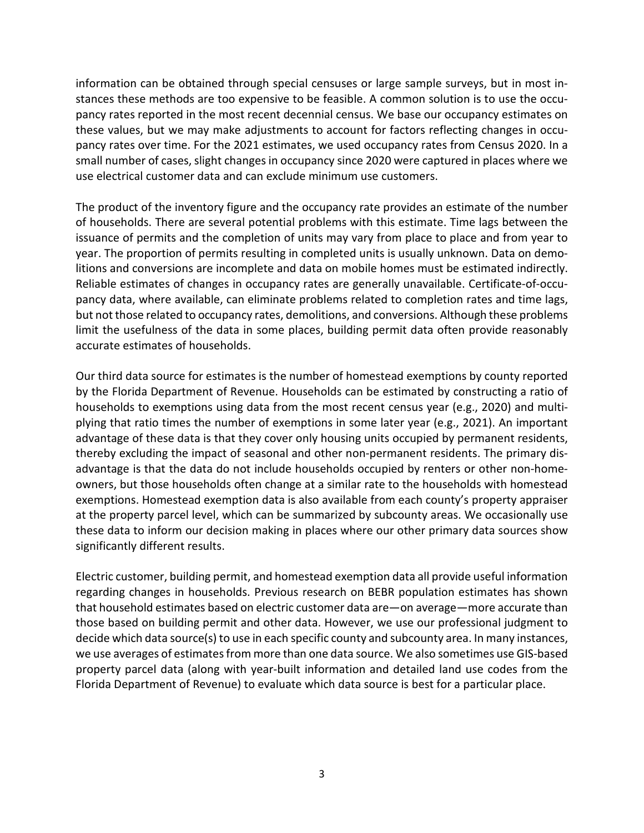information can be obtained through special censuses or large sample surveys, but in most instances these methods are too expensive to be feasible. A common solution is to use the occupancy rates reported in the most recent decennial census. We base our occupancy estimates on these values, but we may make adjustments to account for factors reflecting changes in occupancy rates over time. For the 2021 estimates, we used occupancy rates from Census 2020. In a small number of cases, slight changes in occupancy since 2020 were captured in places where we use electrical customer data and can exclude minimum use customers.

The product of the inventory figure and the occupancy rate provides an estimate of the number of households. There are several potential problems with this estimate. Time lags between the issuance of permits and the completion of units may vary from place to place and from year to year. The proportion of permits resulting in completed units is usually unknown. Data on demolitions and conversions are incomplete and data on mobile homes must be estimated indirectly. Reliable estimates of changes in occupancy rates are generally unavailable. Certificate-of-occupancy data, where available, can eliminate problems related to completion rates and time lags, but not those related to occupancy rates, demolitions, and conversions. Although these problems limit the usefulness of the data in some places, building permit data often provide reasonably accurate estimates of households.

Our third data source for estimates is the number of homestead exemptions by county reported by the Florida Department of Revenue. Households can be estimated by constructing a ratio of households to exemptions using data from the most recent census year (e.g., 2020) and multiplying that ratio times the number of exemptions in some later year (e.g., 2021). An important advantage of these data is that they cover only housing units occupied by permanent residents, thereby excluding the impact of seasonal and other non-permanent residents. The primary disadvantage is that the data do not include households occupied by renters or other non-homeowners, but those households often change at a similar rate to the households with homestead exemptions. Homestead exemption data is also available from each county's property appraiser at the property parcel level, which can be summarized by subcounty areas. We occasionally use these data to inform our decision making in places where our other primary data sources show significantly different results.

Electric customer, building permit, and homestead exemption data all provide useful information regarding changes in households. Previous research on BEBR population estimates has shown that household estimates based on electric customer data are—on average—more accurate than those based on building permit and other data. However, we use our professional judgment to decide which data source(s) to use in each specific county and subcounty area. In many instances, we use averages of estimates from more than one data source. We also sometimes use GIS-based property parcel data (along with year-built information and detailed land use codes from the Florida Department of Revenue) to evaluate which data source is best for a particular place.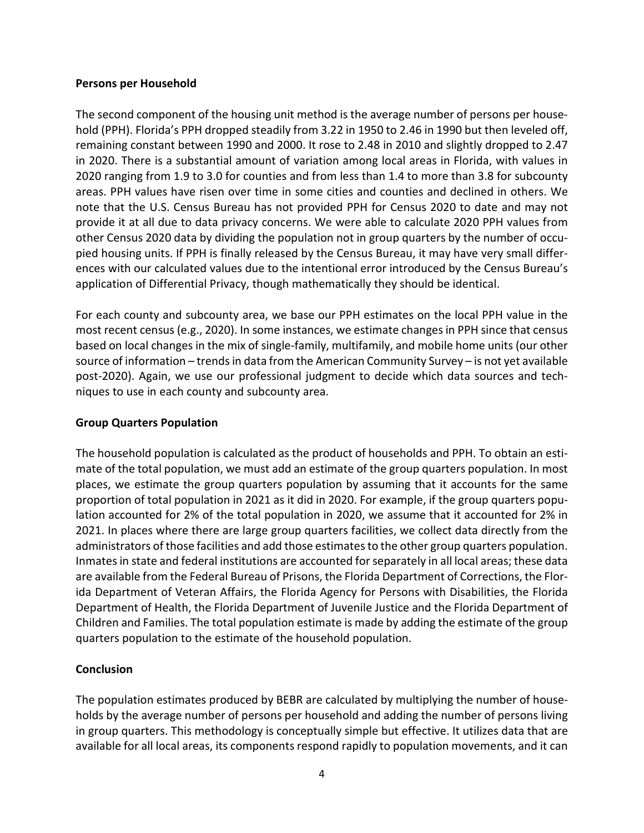## **Persons per Household**

The second component of the housing unit method is the average number of persons per household (PPH). Florida's PPH dropped steadily from 3.22 in 1950 to 2.46 in 1990 but then leveled off, remaining constant between 1990 and 2000. It rose to 2.48 in 2010 and slightly dropped to 2.47 in 2020. There is a substantial amount of variation among local areas in Florida, with values in 2020 ranging from 1.9 to 3.0 for counties and from less than 1.4 to more than 3.8 for subcounty areas. PPH values have risen over time in some cities and counties and declined in others. We note that the U.S. Census Bureau has not provided PPH for Census 2020 to date and may not provide it at all due to data privacy concerns. We were able to calculate 2020 PPH values from other Census 2020 data by dividing the population not in group quarters by the number of occupied housing units. If PPH is finally released by the Census Bureau, it may have very small differences with our calculated values due to the intentional error introduced by the Census Bureau's application of Differential Privacy, though mathematically they should be identical.

For each county and subcounty area, we base our PPH estimates on the local PPH value in the most recent census (e.g., 2020). In some instances, we estimate changes in PPH since that census based on local changes in the mix of single-family, multifamily, and mobile home units (our other source of information – trends in data from the American Community Survey – is not yet available post-2020). Again, we use our professional judgment to decide which data sources and techniques to use in each county and subcounty area.

## **Group Quarters Population**

The household population is calculated as the product of households and PPH. To obtain an estimate of the total population, we must add an estimate of the group quarters population. In most places, we estimate the group quarters population by assuming that it accounts for the same proportion of total population in 2021 as it did in 2020. For example, if the group quarters population accounted for 2% of the total population in 2020, we assume that it accounted for 2% in 2021. In places where there are large group quarters facilities, we collect data directly from the administrators of those facilities and add those estimates to the other group quarters population. Inmates in state and federal institutions are accounted for separately in all local areas; these data are available from the Federal Bureau of Prisons, the Florida Department of Corrections, the Florida Department of Veteran Affairs, the Florida Agency for Persons with Disabilities, the Florida Department of Health, the Florida Department of Juvenile Justice and the Florida Department of Children and Families. The total population estimate is made by adding the estimate of the group quarters population to the estimate of the household population.

## **Conclusion**

The population estimates produced by BEBR are calculated by multiplying the number of households by the average number of persons per household and adding the number of persons living in group quarters. This methodology is conceptually simple but effective. It utilizes data that are available for all local areas, its components respond rapidly to population movements, and it can